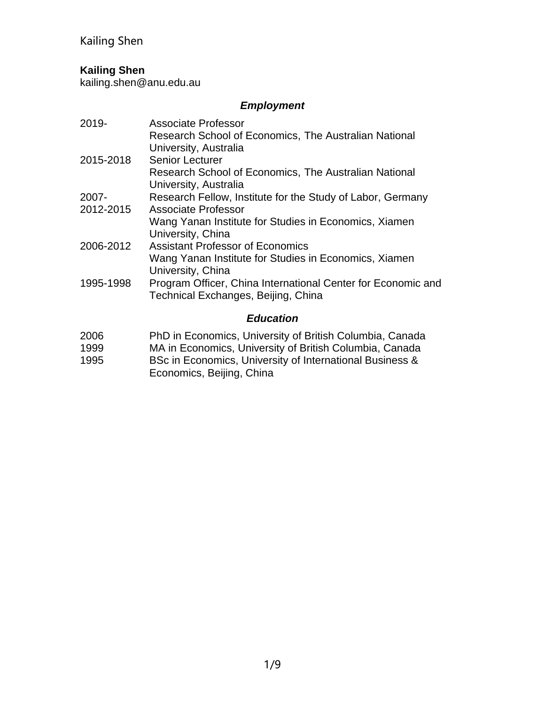## **Kailing Shen**

kailing.shen@anu.edu.au

## *Employment*

| 2019-            | <b>Associate Professor</b><br>Research School of Economics, The Australian National                 |  |
|------------------|-----------------------------------------------------------------------------------------------------|--|
|                  | University, Australia<br><b>Senior Lecturer</b>                                                     |  |
| 2015-2018        | Research School of Economics, The Australian National<br>University, Australia                      |  |
| 2007-            | Research Fellow, Institute for the Study of Labor, Germany                                          |  |
| 2012-2015        | Associate Professor                                                                                 |  |
|                  | Wang Yanan Institute for Studies in Economics, Xiamen<br>University, China                          |  |
| 2006-2012        | <b>Assistant Professor of Economics</b>                                                             |  |
|                  | Wang Yanan Institute for Studies in Economics, Xiamen<br>University, China                          |  |
| 1995-1998        | Program Officer, China International Center for Economic and<br>Technical Exchanges, Beijing, China |  |
| <b>Education</b> |                                                                                                     |  |

- 2006 PhD in Economics, University of British Columbia, Canada<br>1999 MA in Economics, University of British Columbia, Canada
- 1999 MA in Economics, University of British Columbia, Canada<br>1995 BSc in Economics, University of International Business &
- BSc in Economics, University of International Business & Economics, Beijing, China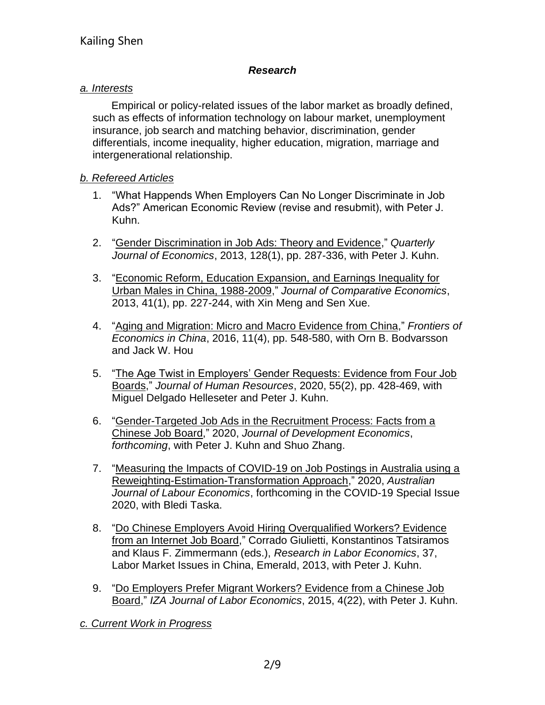### *Research*

### *a. Interests*

Empirical or policy-related issues of the labor market as broadly defined, such as effects of information technology on labour market, unemployment insurance, job search and matching behavior, discrimination, gender differentials, income inequality, higher education, migration, marriage and intergenerational relationship.

### *b. Refereed Articles*

- 1. "What Happends When Employers Can No Longer Discriminate in Job Ads?" American Economic Review (revise and resubmit), with Peter J. Kuhn.
- 2. "Gender Discrimination in Job Ads: Theory and Evidence," *Quarterly Journal of Economics*, 2013, 128(1), pp. 287-336, with Peter J. Kuhn.
- 3. "Economic Reform, Education Expansion, and Earnings Inequality for Urban Males in China, 1988-2009," *Journal of Comparative Economics*, 2013, 41(1), pp. 227-244, with Xin Meng and Sen Xue.
- 4. "Aging and Migration: Micro and Macro Evidence from China," *Frontiers of Economics in China*, 2016, 11(4), pp. 548-580, with Orn B. Bodvarsson and Jack W. Hou
- 5. "The Age Twist in Employers' Gender Requests: Evidence from Four Job Boards," *Journal of Human Resources*, 2020, 55(2), pp. 428-469, with Miguel Delgado Helleseter and Peter J. Kuhn.
- 6. "Gender-Targeted Job Ads in the Recruitment Process: Facts from a Chinese Job Board," 2020, *Journal of Development Economics*, *forthcoming*, with Peter J. Kuhn and Shuo Zhang.
- 7. "Measuring the Impacts of COVID-19 on Job Postings in Australia using a Reweighting-Estimation-Transformation Approach," 2020, *Australian Journal of Labour Economics*, forthcoming in the COVID-19 Special Issue 2020, with Bledi Taska.
- 8. "Do Chinese Employers Avoid Hiring Overqualified Workers? Evidence from an Internet Job Board," Corrado Giulietti, Konstantinos Tatsiramos and Klaus F. Zimmermann (eds.), *Research in Labor Economics*, 37, Labor Market Issues in China, Emerald, 2013, with Peter J. Kuhn.
- 9. "Do Employers Prefer Migrant Workers? Evidence from a Chinese Job Board," *IZA Journal of Labor Economics*, 2015, 4(22), with Peter J. Kuhn.

*c. Current Work in Progress*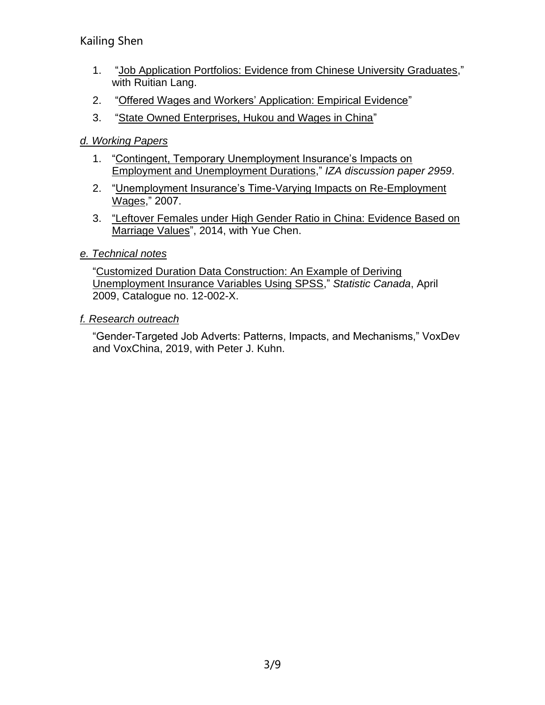- 1. "Job Application Portfolios: Evidence from Chinese University Graduates," with Ruitian Lang.
- 2. "Offered Wages and Workers' Application: Empirical Evidence"
- 3. "State Owned Enterprises, Hukou and Wages in China"

## *d. Working Papers*

- 1. "Contingent, Temporary Unemployment Insurance's Impacts on Employment and Unemployment Durations," *IZA discussion paper 2959*.
- 2. "Unemployment Insurance's Time-Varying Impacts on Re-Employment Wages," 2007.
- 3. "Leftover Females under High Gender Ratio in China: Evidence Based on Marriage Values", 2014, with Yue Chen.

## *e. Technical notes*

"Customized Duration Data Construction: An Example of Deriving Unemployment Insurance Variables Using SPSS," *Statistic Canada*, April 2009, Catalogue no. 12-002-X.

## *f. Research outreach*

"Gender-Targeted Job Adverts: Patterns, Impacts, and Mechanisms," VoxDev and VoxChina, 2019, with Peter J. Kuhn.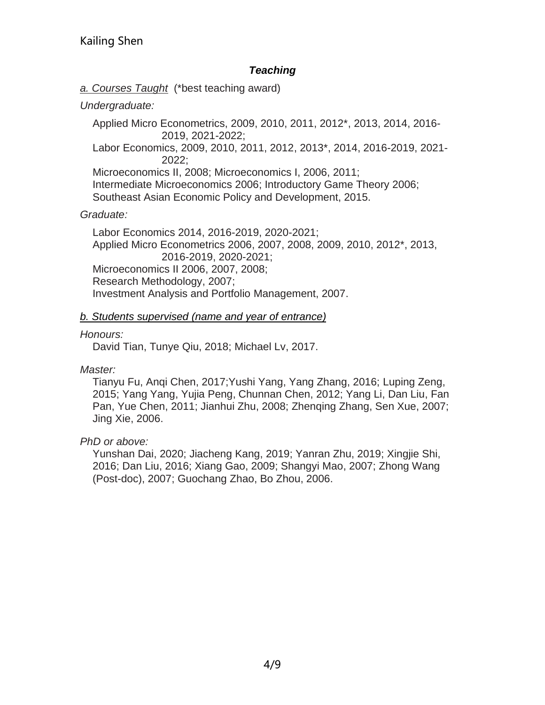### *Teaching*

*a. Courses Taught* (\*best teaching award)

### *Undergraduate:*

Applied Micro Econometrics, 2009, 2010, 2011, 2012\*, 2013, 2014, 2016- 2019, 2021-2022; Labor Economics, 2009, 2010, 2011, 2012, 2013\*, 2014, 2016-2019, 2021- 2022; Microeconomics II, 2008; Microeconomics I, 2006, 2011;

Intermediate Microeconomics 2006; Introductory Game Theory 2006; Southeast Asian Economic Policy and Development, 2015.

### *Graduate:*

Labor Economics 2014, 2016-2019, 2020-2021; Applied Micro Econometrics 2006, 2007, 2008, 2009, 2010, 2012\*, 2013, 2016-2019, 2020-2021; Microeconomics II 2006, 2007, 2008; Research Methodology, 2007; Investment Analysis and Portfolio Management, 2007.

### *b. Students supervised (name and year of entrance)*

### *Honours:*

David Tian, Tunye Qiu, 2018; Michael Lv, 2017.

*Master:* 

Tianyu Fu, Anqi Chen, 2017;Yushi Yang, Yang Zhang, 2016; Luping Zeng, 2015; Yang Yang, Yujia Peng, Chunnan Chen, 2012; Yang Li, Dan Liu, Fan Pan, Yue Chen, 2011; Jianhui Zhu, 2008; Zhenqing Zhang, Sen Xue, 2007; Jing Xie, 2006.

## *PhD or above:*

Yunshan Dai, 2020; Jiacheng Kang, 2019; Yanran Zhu, 2019; Xingjie Shi, 2016; Dan Liu, 2016; Xiang Gao, 2009; Shangyi Mao, 2007; Zhong Wang (Post-doc), 2007; Guochang Zhao, Bo Zhou, 2006.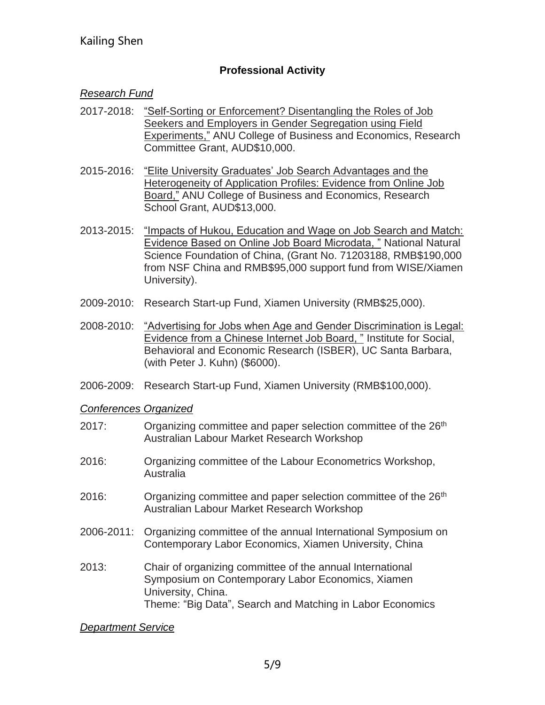## **Professional Activity**

### *Research Fund*

- 2017-2018: "Self-Sorting or Enforcement? Disentangling the Roles of Job Seekers and Employers in Gender Segregation using Field Experiments," ANU College of Business and Economics, Research Committee Grant, AUD\$10,000.
- 2015-2016: "Elite University Graduates' Job Search Advantages and the Heterogeneity of Application Profiles: Evidence from Online Job Board," ANU College of Business and Economics, Research School Grant, AUD\$13,000.
- 2013-2015: "Impacts of Hukou, Education and Wage on Job Search and Match: Evidence Based on Online Job Board Microdata, " National Natural Science Foundation of China, (Grant No. 71203188, RMB\$190,000 from NSF China and RMB\$95,000 support fund from WISE/Xiamen University).
- 2009-2010: Research Start-up Fund, Xiamen University (RMB\$25,000).
- 2008-2010: "Advertising for Jobs when Age and Gender Discrimination is Legal: Evidence from a Chinese Internet Job Board, " Institute for Social, Behavioral and Economic Research (ISBER), UC Santa Barbara, (with Peter J. Kuhn) (\$6000).
- 2006-2009: Research Start-up Fund, Xiamen University (RMB\$100,000).

*Conferences Organized*

- 2017: Organizing committee and paper selection committee of the 26<sup>th</sup> Australian Labour Market Research Workshop
- 2016: Organizing committee of the Labour Econometrics Workshop, Australia
- 2016: Organizing committee and paper selection committee of the 26<sup>th</sup> Australian Labour Market Research Workshop
- 2006-2011: Organizing committee of the annual International Symposium on Contemporary Labor Economics, Xiamen University, China
- 2013: Chair of organizing committee of the annual International Symposium on Contemporary Labor Economics, Xiamen University, China. Theme: "Big Data", Search and Matching in Labor Economics

*Department Service*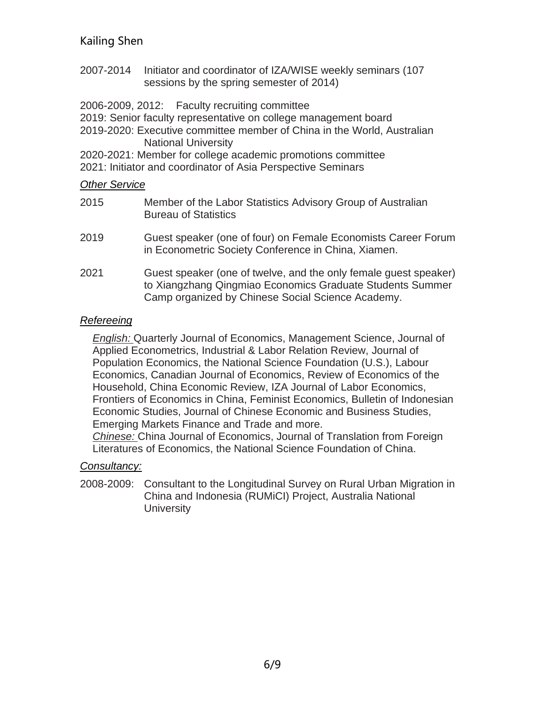- 2007-2014 Initiator and coordinator of IZA/WISE weekly seminars (107 sessions by the spring semester of 2014)
- 2006-2009, 2012: Faculty recruiting committee
- 2019: Senior faculty representative on college management board
- 2019-2020: Executive committee member of China in the World, Australian National University

2020-2021: Member for college academic promotions committee

2021: Initiator and coordinator of Asia Perspective Seminars

### *Other Service*

| 2015 | Member of the Labor Statistics Advisory Group of Australian<br><b>Bureau of Statistics</b>                                                                                         |
|------|------------------------------------------------------------------------------------------------------------------------------------------------------------------------------------|
| 2019 | Guest speaker (one of four) on Female Economists Career Forum<br>in Econometric Society Conference in China, Xiamen.                                                               |
| 2021 | Guest speaker (one of twelve, and the only female guest speaker)<br>to Xiangzhang Qingmiao Economics Graduate Students Summer<br>Camp organized by Chinese Social Science Academy. |

### *Refereeing*

*English:* Quarterly Journal of Economics, Management Science, Journal of Applied Econometrics, Industrial & Labor Relation Review, Journal of Population Economics, the National Science Foundation (U.S.), Labour Economics, Canadian Journal of Economics, Review of Economics of the Household, China Economic Review, IZA Journal of Labor Economics, Frontiers of Economics in China, Feminist Economics, Bulletin of Indonesian Economic Studies, Journal of Chinese Economic and Business Studies, Emerging Markets Finance and Trade and more.

*Chinese:* China Journal of Economics, Journal of Translation from Foreign Literatures of Economics, the National Science Foundation of China.

## *Consultancy:*

2008-2009: Consultant to the Longitudinal Survey on Rural Urban Migration in China and Indonesia (RUMiCI) Project, Australia National **University**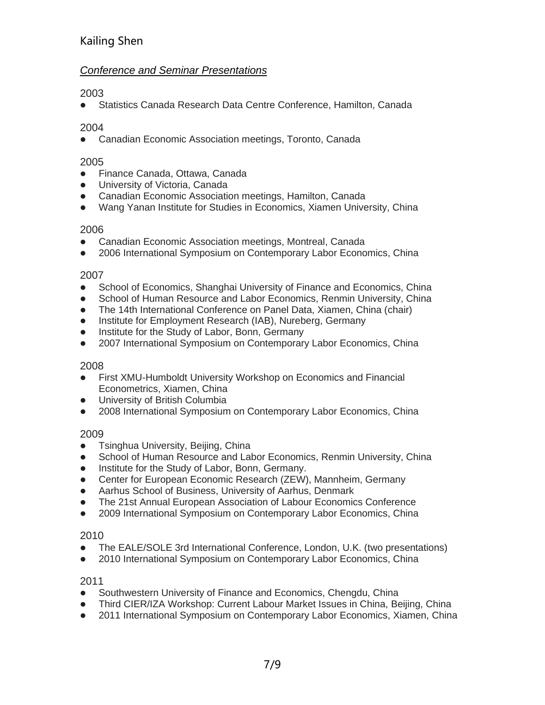### *Conference and Seminar Presentations*

2003

● Statistics Canada Research Data Centre Conference, Hamilton, Canada

### 2004

⚫ Canadian Economic Association meetings, Toronto, Canada

### 2005

- Finance Canada, Ottawa, Canada
- ⚫ University of Victoria, Canada
- ⚫ Canadian Economic Association meetings, Hamilton, Canada
- Wang Yanan Institute for Studies in Economics, Xiamen University, China

### 2006

- Canadian Economic Association meetings, Montreal, Canada
- 2006 International Symposium on Contemporary Labor Economics, China

### 2007

- School of Economics, Shanghai University of Finance and Economics, China
- School of Human Resource and Labor Economics, Renmin University, China
- The 14th International Conference on Panel Data, Xiamen, China (chair)
- Institute for Employment Research (IAB), Nureberg, Germany
- ⚫ Institute for the Study of Labor, Bonn, Germany
- 2007 International Symposium on Contemporary Labor Economics, China

### 2008

- First XMU-Humboldt University Workshop on Economics and Financial Econometrics, Xiamen, China
- ⚫ University of British Columbia
- ⚫ 2008 International Symposium on Contemporary Labor Economics, China

### 2009

- Tsinghua University, Beijing, China
- School of Human Resource and Labor Economics, Renmin University, China
- ⚫ Institute for the Study of Labor, Bonn, Germany.
- Center for European Economic Research (ZEW), Mannheim, Germany
- Aarhus School of Business, University of Aarhus, Denmark
- The 21st Annual European Association of Labour Economics Conference
- 2009 International Symposium on Contemporary Labor Economics, China

### 2010

- ⚫ The EALE/SOLE 3rd International Conference, London, U.K. (two presentations)
- 2010 International Symposium on Contemporary Labor Economics, China

### 2011

- Southwestern University of Finance and Economics, Chengdu, China
- Third CIER/IZA Workshop: Current Labour Market Issues in China, Beijing, China
- 2011 International Symposium on Contemporary Labor Economics, Xiamen, China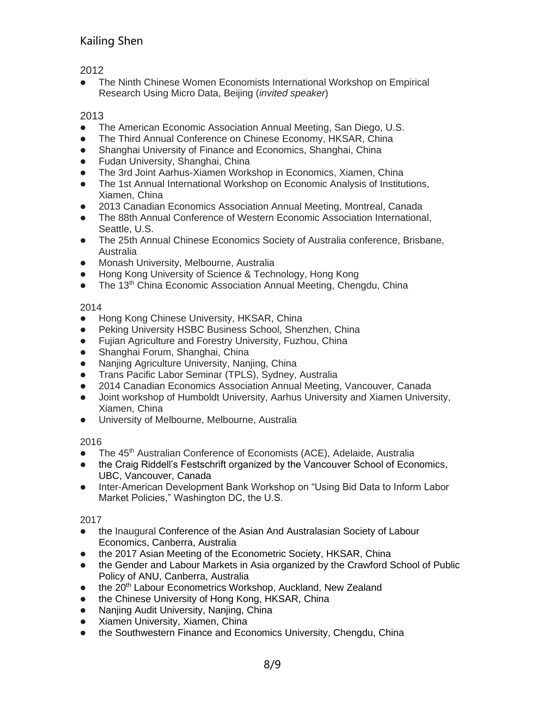2012

⚫ The Ninth Chinese Women Economists International Workshop on Empirical Research Using Micro Data, Beijing (*invited speaker*)

### 2013

- The American Economic Association Annual Meeting, San Diego, U.S.
- The Third Annual Conference on Chinese Economy, HKSAR, China
- Shanghai University of Finance and Economics, Shanghai, China
- ⚫ Fudan University, Shanghai, China
- ⚫ The 3rd Joint Aarhus-Xiamen Workshop in Economics, Xiamen, China
- The 1st Annual International Workshop on Economic Analysis of Institutions, Xiamen, China
- 2013 Canadian Economics Association Annual Meeting, Montreal, Canada
- ⚫ The 88th Annual Conference of Western Economic Association International, Seattle, U.S.
- The 25th Annual Chinese Economics Society of Australia conference, Brisbane, Australia
- ⚫ Monash University, Melbourne, Australia
- Hong Kong University of Science & Technology, Hong Kong
- The 13<sup>th</sup> China Economic Association Annual Meeting, Chengdu, China

### 2014

- Hong Kong Chinese University, HKSAR, China
- Peking University HSBC Business School, Shenzhen, China
- ⚫ Fujian Agriculture and Forestry University, Fuzhou, China
- ⚫ Shanghai Forum, Shanghai, China
- Nanjing Agriculture University, Nanjing, China
- ⚫ Trans Pacific Labor Seminar (TPLS), Sydney, Australia
- 2014 Canadian Economics Association Annual Meeting, Vancouver, Canada
- Joint workshop of Humboldt University, Aarhus University and Xiamen University, Xiamen, China
- ⚫ University of Melbourne, Melbourne, Australia

### 2016

- The 45<sup>th</sup> Australian Conference of Economists (ACE), Adelaide, Australia
- the Craig Riddell's Festschrift organized by the Vancouver School of Economics, UBC, Vancouver, Canada
- Inter-American Development Bank Workshop on "Using Bid Data to Inform Labor Market Policies," Washington DC, the U.S.

### 2017

- the Inaugural Conference of the Asian And Australasian Society of Labour Economics, Canberra, Australia
- the 2017 Asian Meeting of the Econometric Society, HKSAR, China
- the Gender and Labour Markets in Asia organized by the Crawford School of Public Policy of ANU, Canberra, Australia
- the 20<sup>th</sup> Labour Econometrics Workshop, Auckland, New Zealand
- the Chinese University of Hong Kong, HKSAR, China
- Nanjing Audit University, Nanjing, China
- ⚫ Xiamen University, Xiamen, China
- the Southwestern Finance and Economics University, Chengdu, China